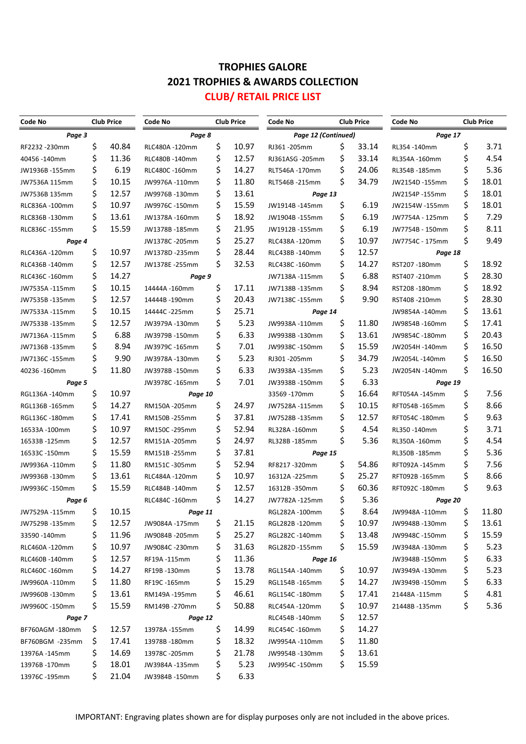#### **TROPHIES GALORE 2021 TROPHIES & AWARDS COLLECTION CLUB/ RETAIL PRICE LIST**

| Code No         | <b>Club Price</b> |       | <b>Club Price</b><br>Code No |     |       | <b>Club Price</b><br><b>Code No</b> |    |       | <b>Club Price</b><br>Code No |     |       |
|-----------------|-------------------|-------|------------------------------|-----|-------|-------------------------------------|----|-------|------------------------------|-----|-------|
| Page 3          |                   |       | Page 8                       |     |       | Page 12 (Continued)                 |    |       | Page 17                      |     |       |
| RF2232-230mm    | \$                | 40.84 | RLC480A-120mm                | \$  | 10.97 | RJ361-205mm                         | \$ | 33.14 | RL354-140mm                  | \$  | 3.71  |
| 40456 -140mm    | \$                | 11.36 | RLC480B-140mm                | \$  | 12.57 | RJ361ASG -205mm                     | \$ | 33.14 | RL354A-160mm                 | \$  | 4.54  |
| JW1936B-155mm   | \$                | 6.19  | RLC480C -160mm               | \$  | 14.27 | RLT546A-170mm                       | \$ | 24.06 | RL354B-185mm                 | \$  | 5.36  |
| JW7536A 115mm   | \$                | 10.15 | JW9976A-110mm                | \$  | 11.80 | RLT546B-215mm                       | \$ | 34.79 | JW2154D -155mm               | \$  | 18.01 |
| JW7536B 135mm   | \$                | 12.57 | JW9976B-130mm                | \$  | 13.61 | Page 13                             |    |       | JW2154P-155mm                | \$  | 18.01 |
| RLC836A-100mm   | \$                | 10.97 | JW9976C -150mm               | \$  | 15.59 | JW1914B-145mm                       | \$ | 6.19  | JW2154W -155mm               | \$  | 18.01 |
| RLC836B-130mm   | \$                | 13.61 | JW1378A-160mm                | \$  | 18.92 | JW1904B-155mm                       | \$ | 6.19  | JW7754A - 125mm              | \$  | 7.29  |
| RLC836C-155mm   | \$                | 15.59 | JW1378B-185mm                | \$  | 21.95 | JW1912B-155mm                       | \$ | 6.19  | JW7754B - 150mm              | \$  | 8.11  |
| Page 4          |                   |       | JW1378C-205mm                | \$  | 25.27 | RLC438A-120mm                       | \$ | 10.97 | JW7754C - 175mm              | \$  | 9.49  |
| RLC436A-120mm   | \$                | 10.97 | JW1378D-235mm                | \$  | 28.44 | RLC438B-140mm                       | \$ | 12.57 | Page 18                      |     |       |
| RLC436B-140mm   | \$                | 12.57 | JW1378E -255mm               | \$  | 32.53 | RLC438C-160mm                       | \$ | 14.27 | RST207-180mm                 | \$  | 18.92 |
| RLC436C-160mm   | \$                | 14.27 | Page 9                       |     |       | JW7138A-115mm                       | \$ | 6.88  | RST407-210mm                 | \$  | 28.30 |
| JW7535A-115mm   | \$                | 10.15 | 14444A -160mm                | \$  | 17.11 | JW7138B-135mm                       | \$ | 8.94  | RST208-180mm                 | \$  | 18.92 |
| JW7535B-135mm   | \$                | 12.57 | 14444B-190mm                 | \$  | 20.43 | JW7138C-155mm                       | \$ | 9.90  | RST408-210mm                 | \$  | 28.30 |
| JW7533A -115mm  | \$                | 10.15 | 14444C -225mm                | \$  | 25.71 | Page 14                             |    |       | JW9854A-140mm                | \$  | 13.61 |
| JW7533B-135mm   | \$                | 12.57 | JW3979A-130mm                | \$  | 5.23  | JW9938A-110mm                       | \$ | 11.80 | JW9854B-160mm                | \$  | 17.41 |
| JW7136A-115mm   | \$                | 6.88  | JW3979B-150mm                | \$  | 6.33  | JW9938B-130mm                       | \$ | 13.61 | JW9854C-180mm                | \$  | 20.43 |
| JW7136B-135mm   | \$                | 8.94  | JW3979C-165mm                | \$  | 7.01  | JW9938C-150mm                       | \$ | 15.59 | JW2054H-140mm                | \$  | 16.50 |
| JW7136C-155mm   | \$                | 9.90  | JW3978A-130mm                | \$  | 5.23  | RJ301-205mm                         | \$ | 34.79 | JW2054L-140mm                | \$  | 16.50 |
| 40236-160mm     | \$                | 11.80 | JW3978B-150mm                | \$  | 6.33  | JW3938A-135mm                       | \$ | 5.23  | JW2054N -140mm               | \$  | 16.50 |
| Page 5          |                   |       | JW3978C-165mm                | \$  | 7.01  | JW3938B-150mm                       | \$ | 6.33  | Page 19                      |     |       |
| RGL136A-140mm   | \$                | 10.97 | Page 10                      |     |       | 33569-170mm                         | \$ | 16.64 | RFT054A-145mm                | \$  | 7.56  |
| RGL136B-165mm   | \$                | 14.27 | RM150A-205mm                 | \$  | 24.97 | JW7528A-115mm                       | \$ | 10.15 | RFT054B-165mm                | \$  | 8.66  |
| RGL136C-180mm   | \$                | 17.41 | RM150B-255mm                 | \$  | 37.81 | JW7528B-135mm                       | \$ | 12.57 | RFT054C-180mm                | \$  | 9.63  |
| 16533A-100mm    | \$                | 10.97 | RM150C-295mm                 | \$  | 52.94 | RL328A-160mm                        | \$ | 4.54  | RL350-140mm                  | \$  | 3.71  |
| 16533B-125mm    | \$                | 12.57 | RM151A-205mm                 | \$  | 24.97 | RL328B-185mm                        | \$ | 5.36  | RL350A-160mm                 | \$  | 4.54  |
| 16533C-150mm    | \$                | 15.59 | RM151B-255mm                 | \$  | 37.81 | Page 15                             |    |       | RL350B-185mm                 | \$  | 5.36  |
| JW9936A-110mm   | \$                | 11.80 | RM151C-305mm                 | \$  | 52.94 | RF8217-320mm                        | \$ | 54.86 | RFT092A-145mm                | \$  | 7.56  |
| JW9936B-130mm   | \$                | 13.61 | RLC484A-120mm                | \$  | 10.97 | 16312A -225mm                       | \$ | 25.27 | RFT092B-165mm                | \$  | 8.66  |
| JW9936C-150mm   | \$                | 15.59 | RLC484B-140mm                | \$  | 12.57 | 16312B-350mm                        | \$ | 60.36 | RFT092C-180mm                | \$  | 9.63  |
| Page 6          |                   |       | RLC484C-160mm                | \$  | 14.27 | JW7782A-125mm                       | \$ | 5.36  | Page 20                      |     |       |
| JW7529A-115mm   | \$                | 10.15 | Page 11                      |     |       | RGL282A-100mm                       |    | 8.64  | JW9948A-110mm                | \$. | 11.80 |
| JW7529B-135mm   | Ş                 | 12.57 | JW9084A -175mm               | \$  | 21.15 | RGL282B-120mm                       | Ş  | 10.97 | JW9948B -130mm               | \$  | 13.61 |
| 33590 -140mm    | \$                | 11.96 | JW9084B-205mm                | \$, | 25.27 | RGL282C-140mm                       | \$ | 13.48 | JW9948C -150mm               | \$  | 15.59 |
| RLC460A-120mm   | Ş                 | 10.97 | JW9084C-230mm                | \$  | 31.63 | RGL282D -155mm                      | \$ | 15.59 | JW3948A-130mm                | \$  | 5.23  |
| RLC460B -140mm  | \$                | 12.57 | RF19A-115mm                  | \$  | 11.36 | Page 16                             |    |       | JW3948B -150mm               | \$  | 6.33  |
| RLC460C -160mm  | \$                | 14.27 | RF19B-130mm                  | \$  | 13.78 | RGL154A-140mm                       | Ş  | 10.97 | JW3949A -130mm               | \$  | 5.23  |
| JW9960A -110mm  | \$                | 11.80 | RF19C-165mm                  | \$  | 15.29 | RGL154B-165mm                       | \$ | 14.27 | JW3949B -150mm               | \$  | 6.33  |
| JW9960B -130mm  | \$                | 13.61 | RM149A -195mm                | \$  | 46.61 | RGL154C -180mm                      | \$ | 17.41 | 21448A -115mm                | \$  | 4.81  |
| JW9960C -150mm  | \$                | 15.59 | RM149B-270mm                 | \$. | 50.88 | RLC454A -120mm                      | \$ | 10.97 | 21448B-135mm                 | \$  | 5.36  |
| Page 7          |                   |       | Page 12                      |     |       | RLC454B-140mm                       | Ş  | 12.57 |                              |     |       |
| BF760AGM -180mm | Ş                 | 12.57 | 13978A -155mm                | \$  | 14.99 | RLC454C -160mm                      | \$ | 14.27 |                              |     |       |
| BF760BGM -235mm | Ş                 | 17.41 | 13978B-180mm                 | \$, | 18.32 | JW9954A -110mm                      | \$ | 11.80 |                              |     |       |
| 13976A -145mm   | \$                | 14.69 | 13978C-205mm                 | \$  | 21.78 | JW9954B-130mm                       | \$ | 13.61 |                              |     |       |
| 13976B-170mm    | \$                | 18.01 | JW3984A -135mm               | \$. | 5.23  | JW9954C-150mm                       | Ş  | 15.59 |                              |     |       |
| 13976C-195mm    | \$                | 21.04 | JW3984B-150mm                | \$. | 6.33  |                                     |    |       |                              |     |       |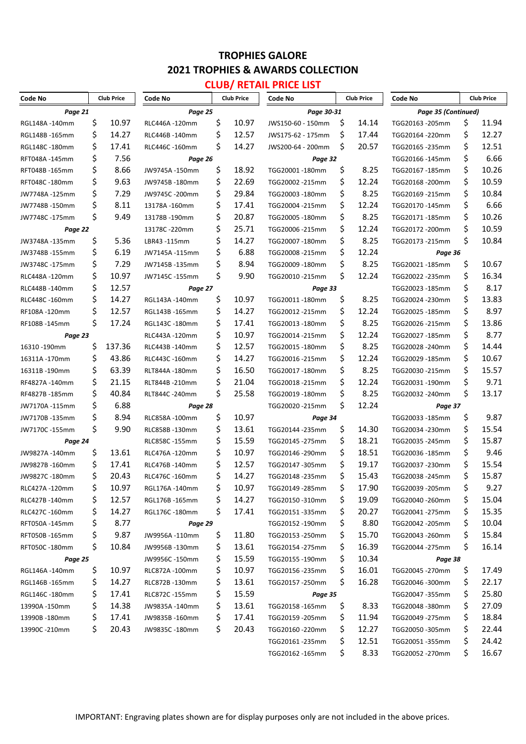# **CLUB/ RETAIL PRICE LIST**

| Code No        |    | <b>Club Price</b> | Code No<br><b>Club Price</b> |     | Code No<br><b>Club Price</b> |                   |            | Code No<br><b>Club Price</b> |                     |    |       |
|----------------|----|-------------------|------------------------------|-----|------------------------------|-------------------|------------|------------------------------|---------------------|----|-------|
| Page 21        |    |                   | Page 25                      |     |                              |                   | Page 30-31 |                              | Page 35 (Continued) |    |       |
| RGL148A-140mm  | \$ | 10.97             | RLC446A-120mm                | \$  | 10.97                        | JWS150-60 - 150mm | S          | 14.14                        | TGG20163 -205mm     | \$ | 11.94 |
| RGL148B-165mm  | \$ | 14.27             | RLC446B-140mm                | \$  | 12.57                        | JWS175-62 - 175mm | \$         | 17.44                        | TGG20164 -220mm     | \$ | 12.27 |
| RGL148C-180mm  | \$ | 17.41             | RLC446C -160mm               | \$  | 14.27                        | JWS200-64 - 200mm | S          | 20.57                        | TGG20165 - 235mm    | \$ | 12.51 |
| RFT048A-145mm  | \$ | 7.56              | Page 26                      |     |                              | Page 32           |            |                              | TGG20166 -145mm     | \$ | 6.66  |
| RFT048B-165mm  | \$ | 8.66              | JW9745A-150mm                | \$  | 18.92                        | TGG20001-180mm    | \$         | 8.25                         | TGG20167-185mm      | \$ | 10.26 |
| RFT048C-180mm  | \$ | 9.63              | JW9745B-180mm                | \$  | 22.69                        | TGG20002 -215mm   | \$         | 12.24                        | TGG20168-200mm      | \$ | 10.59 |
| JW7748A-125mm  | \$ | 7.29              | JW9745C-200mm                | \$  | 29.84                        | TGG20003 -180mm   | \$         | 8.25                         | TGG20169 -215mm     | \$ | 10.84 |
| JW7748B-150mm  | \$ | 8.11              | 13178A-160mm                 | \$  | 17.41                        | TGG20004 -215mm   | \$         | 12.24                        | TGG20170-145mm      | \$ | 6.66  |
| JW7748C-175mm  | \$ | 9.49              | 13178B-190mm                 | \$  | 20.87                        | TGG20005 -180mm   | \$         | 8.25                         | TGG20171-185mm      | \$ | 10.26 |
| Page 22        |    |                   | 13178C -220mm                | \$  | 25.71                        | TGG20006 -215mm   | \$         | 12.24                        | TGG20172 - 200mm    | \$ | 10.59 |
| JW3748A-135mm  | \$ | 5.36              | LBR43-115mm                  | \$  | 14.27                        | TGG20007-180mm    | \$         | 8.25                         | TGG20173 -215mm     | \$ | 10.84 |
| JW3748B-155mm  | \$ | 6.19              | JW7145A-115mm                | \$  | 6.88                         | TGG20008 -215mm   | Ś          | 12.24                        | Page 36             |    |       |
| JW3748C-175mm  | \$ | 7.29              | JW7145B-135mm                | \$  | 8.94                         | TGG20009 -180mm   | \$         | 8.25                         | TGG20021-185mm      | \$ | 10.67 |
| RLC448A-120mm  | \$ | 10.97             | JW7145C -155mm               | \$  | 9.90                         | TGG20010-215mm    | \$         | 12.24                        | TGG20022 -235mm     | \$ | 16.34 |
| RLC448B-140mm  | \$ | 12.57             | Page 27                      |     |                              | Page 33           |            |                              | TGG20023 -185mm     | \$ | 8.17  |
| RLC448C-160mm  | \$ | 14.27             | RGL143A-140mm                | \$  | 10.97                        | TGG20011-180mm    | \$         | 8.25                         | TGG20024 - 230mm    | \$ | 13.83 |
| RF108A-120mm   | \$ | 12.57             | RGL143B-165mm                | \$  | 14.27                        | TGG20012 -215mm   | \$         | 12.24                        | TGG20025 -185mm     | \$ | 8.97  |
| RF108B-145mm   | \$ | 17.24             | RGL143C-180mm                | \$  | 17.41                        | TGG20013 -180mm   | \$         | 8.25                         | TGG20026-215mm      | \$ | 13.86 |
| Page 23        |    |                   | RLC443A-120mm                | \$  | 10.97                        | TGG20014 -215mm   | \$         | 12.24                        | TGG20027 -185mm     | \$ | 8.77  |
| 16310 -190mm   | \$ | 137.36            | RLC443B-140mm                | \$  | 12.57                        | TGG20015 -180mm   | \$         | 8.25                         | TGG20028-240mm      | \$ | 14.44 |
| 16311A-170mm   | \$ | 43.86             | RLC443C-160mm                | \$  | 14.27                        | TGG20016 -215mm   | \$         | 12.24                        | TGG20029-185mm      | \$ | 10.67 |
| 16311B-190mm   | \$ | 63.39             | RLT844A-180mm                | \$  | 16.50                        | TGG20017 -180mm   | \$         | 8.25                         | TGG20030-215mm      | \$ | 15.57 |
| RF4827A-140mm  | \$ | 21.15             | RLT844B-210mm                | \$  | 21.04                        | TGG20018 -215mm   | \$         | 12.24                        | TGG20031-190mm      | \$ | 9.71  |
| RF4827B-185mm  | \$ | 40.84             | RLT844C-240mm                | \$  | 25.58                        | TGG20019 -180mm   | \$         | 8.25                         | TGG20032 -240mm     | \$ | 13.17 |
| JW7170A-115mm  | \$ | 6.88              | Page 28                      |     |                              | TGG20020-215mm    | Ś.         | 12.24                        | Page 37             |    |       |
| JW7170B-135mm  | \$ | 8.94              | RLC858A-100mm                | \$  | 10.97                        | Page 34           |            |                              | TGG20033 -185mm     | \$ | 9.87  |
| JW7170C -155mm | \$ | 9.90              | RLC858B-130mm                | \$  | 13.61                        | TGG20144 -235mm   | \$         | 14.30                        | TGG20034 -230mm     | \$ | 15.54 |
| Page 24        |    |                   | RLC858C-155mm                | \$  | 15.59                        | TGG20145 - 275mm  | \$         | 18.21                        | TGG20035 -245mm     | \$ | 15.87 |
| JW9827A-140mm  | \$ | 13.61             | RLC476A-120mm                | \$  | 10.97                        | TGG20146 -290mm   | \$         | 18.51                        | TGG20036 -185mm     | \$ | 9.46  |
| JW9827B-160mm  | \$ | 17.41             | RLC476B-140mm                | \$  | 12.57                        | TGG20147 -305mm   | Ś          | 19.17                        | TGG20037-230mm      | \$ | 15.54 |
| JW9827C-180mm  | \$ | 20.43             | RLC476C-160mm                | \$  | 14.27                        | TGG20148 -235mm   | \$         | 15.43                        | TGG20038-245mm      | \$ | 15.87 |
| RLC427A-120mm  | \$ | 10.97             | RGL176A-140mm                | \$  | 10.97                        | TGG20149 - 285mm  | \$         | 17.90                        | TGG20039-205mm      | \$ | 9.27  |
| RLC427B-140mm  | \$ | 12.57             | RGL176B -165mm               | \$  | 14.27                        | TGG20150 -310mm   | Ş          | 19.09                        | TGG20040 -260mm     | \$ | 15.04 |
| RLC427C-160mm  | \$ | 14.27             | RGL176C-180mm                | \$  | 17.41                        | TGG20151-335mm    | Ş          | 20.27                        | TGG20041-275mm      | \$ | 15.35 |
| RFT050A-145mm  | \$ | 8.77              | Page 29                      |     |                              | TGG20152 -190mm   | \$         | 8.80                         | TGG20042 -205mm     | \$ | 10.04 |
| RFT050B-165mm  | \$ | 9.87              | JW9956A -110mm               | \$  | 11.80                        | TGG20153 - 250mm  | \$         | 15.70                        | TGG20043 -260mm     | \$ | 15.84 |
| RFT050C -180mm | \$ | 10.84             | JW9956B-130mm                | \$  | 13.61                        | TGG20154 -275mm   | \$         | 16.39                        | TGG20044 -275mm     | \$ | 16.14 |
| Page 25        |    |                   | JW9956C -150mm               | \$  | 15.59                        | TGG20155 -190mm   | \$         | 10.34                        | Page 38             |    |       |
| RGL146A-140mm  | Ş  | 10.97             | RLC872A-100mm                | \$  | 10.97                        | TGG20156 -235mm   | Ş          | 16.01                        | TGG20045 -270mm     | \$ | 17.49 |
| RGL146B-165mm  | Ş  | 14.27             | RLC872B-130mm                | \$  | 13.61                        | TGG20157-250mm    | Ş          | 16.28                        | TGG20046 -300mm     | \$ | 22.17 |
| RGL146C -180mm | \$ | 17.41             | RLC872C-155mm                | \$  | 15.59                        | Page 35           |            |                              | TGG20047 -355mm     | \$ | 25.80 |
| 13990A -150mm  | \$ | 14.38             | JW9835A -140mm               | \$  | 13.61                        | TGG20158 -165mm   | \$,        | 8.33                         | TGG20048 -380mm     | \$ | 27.09 |
| 13990B -180mm  | \$ | 17.41             | JW9835B -160mm               | \$  | 17.41                        | TGG20159 - 205mm  | Ş          | 11.94                        | TGG20049 -275mm     | \$ | 18.84 |
| 13990C -210mm  | \$ | 20.43             | JW9835C -180mm               | \$. | 20.43                        | TGG20160-220mm    | Ş          | 12.27                        | TGG20050 -305mm     | \$ | 22.44 |
|                |    |                   |                              |     |                              | TGG20161 -235mm   | Ş          | 12.51                        | TGG20051-355mm      | \$ | 24.42 |
|                |    |                   |                              |     |                              | TGG20162 -165mm   | \$,        | 8.33                         | TGG20052 -270mm     | \$ | 16.67 |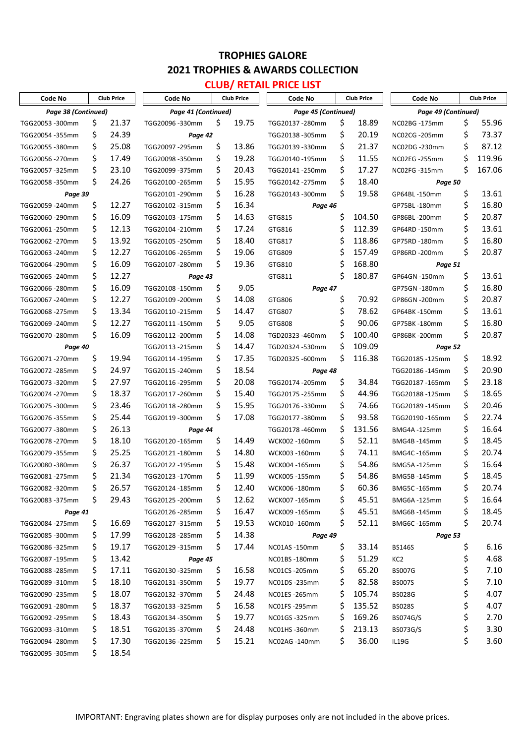# **CLUB/ RETAIL PRICE LIST**

| Page 38 (Continued)<br>Page 41 (Continued)<br>Page 45 (Continued)<br>Page 49 (Continued)<br>19.75<br>\$<br>18.89<br>\$<br>55.96<br>\$<br>21.37<br>\$<br>TGG20053 -300mm<br>TGG20096 -330mm<br>TGG20137 - 280mm<br>NC02BG -175mm<br>\$<br>\$<br>24.39<br>\$<br>73.37<br>20.19<br>TGG20054 -355mm<br>TGG20138 -305mm<br>NC02CG -205mm<br>Page 42<br>\$<br>\$<br>87.12<br>\$<br>25.08<br>\$<br>13.86<br>21.37<br>TGG20097 - 295mm<br>TGG20139 -330mm<br>NC02DG -230mm<br>TGG20055 -380mm<br>\$<br>\$<br>\$<br>119.96<br>\$<br>19.28<br>11.55<br>17.49<br>TGG20098 -350mm<br>TGG20140 -195mm<br>NC02EG -255mm<br>TGG20056 -270mm<br>\$<br>\$<br>\$<br>\$<br>167.06<br>20.43<br>23.10<br>17.27<br>TGG20057-325mm<br>TGG20099 -375mm<br>TGG20141-250mm<br>NC02FG-315mm<br>\$<br>\$<br>\$<br>24.26<br>15.95<br>18.40<br>TGG20142 - 275mm<br>TGG20058-350mm<br>TGG20100 - 265mm<br>Page 50<br>\$<br>Ś.<br>16.28<br>\$<br>13.61<br>19.58<br>Page 39<br>TGG20101-290mm<br>TGG20143 -300mm<br>GP64BL-150mm<br>\$<br>\$<br>\$<br>12.27<br>16.34<br>16.80<br>TGG20059 - 240mm<br>TGG20102 -315mm<br>GP75BL-180mm<br>Page 46<br>\$<br>\$<br>\$<br>\$<br>16.09<br>104.50<br>20.87<br>14.63<br>TGG20060-290mm<br>TGG20103 -175mm<br>GTG815<br>GP86BL-200mm<br>\$<br>\$<br>\$<br>\$<br>112.39<br>13.61<br>12.13<br>17.24<br>TGG20061-250mm<br>TGG20104 -210mm<br>GTG816<br>GP64RD-150mm<br>\$<br>\$<br>16.80<br>13.92<br>\$<br>118.86<br>\$<br>18.40<br>TGG20062 - 270mm<br>TGG20105 - 250mm<br>GTG817<br>GP75RD-180mm<br>\$<br>Ś<br>20.87<br>\$<br>19.06<br>157.49<br>\$<br>12.27<br>TGG20106 - 265mm<br>GTG809<br>TGG20063 -240mm<br>GP86RD -200mm<br>\$<br>16.09<br>Ś<br>\$<br>19.36<br>168.80<br>TGG20107 - 280mm<br>GTG810<br>TGG20064 -290mm<br>Page 51<br>\$<br>\$<br>\$<br>180.87<br>13.61<br>12.27<br>TGG20065 - 240mm<br>GTG811<br>GP64GN -150mm<br>Page 43<br>\$<br>\$<br>16.80<br>16.09<br>\$<br>9.05<br>TGG20108 -150mm<br>GP75GN -180mm<br>TGG20066 -280mm<br>Page 47<br>\$<br>\$<br>12.27<br>\$<br>\$<br>70.92<br>20.87<br>14.08<br>TGG20067 - 240mm<br>TGG20109 -200mm<br>GTG806<br>GP86GN -200mm<br>\$<br>\$<br>\$<br>\$<br>78.62<br>13.61<br>13.34<br>14.47<br>TGG20068 -275mm<br>TGG20110-215mm<br>GTG807<br>GP64BK-150mm<br>\$<br>\$<br>\$<br>\$<br>9.05<br>90.06<br>16.80<br>12.27<br>TGG20069 - 240mm<br>TGG20111-150mm<br>GTG808<br>GP75BK-180mm<br>\$<br>\$<br>Ś<br>\$<br>100.40<br>20.87<br>16.09<br>14.08<br>TGD20323-460mm<br>TGG20070-280mm<br>TGG20112 - 200mm<br>GP86BK-200mm<br>\$<br>Ś<br>109.09<br>14.47<br>TGD20324-530mm<br>TGG20113 -215mm<br>Page 40<br>Page 52<br>\$<br>\$<br>\$<br>17.35<br>\$<br>116.38<br>18.92<br>19.94<br>TGD20325-600mm<br>TGG20071-270mm<br>TGG20114 -195mm<br>TGG20185 -125mm<br>\$<br>\$<br>\$<br>24.97<br>18.54<br>20.90<br>TGG20072 - 285mm<br>TGG20115 - 240mm<br>TGG20186-145mm<br>Page 48<br>\$<br>\$<br>\$<br>\$<br>27.97<br>20.08<br>34.84<br>23.18<br>TGG20073 -320mm<br>TGG20116 - 295mm<br>TGG20174 - 205mm<br>TGG20187-165mm<br>\$<br>\$<br>\$<br>\$<br>18.37<br>15.40<br>18.65<br>44.96<br>TGG20074-270mm<br>TGG20117 - 260mm<br>TGG20175 - 255mm<br>TGG20188-125mm<br>\$<br>\$<br>\$<br>\$<br>23.46<br>15.95<br>20.46<br>74.66<br>TGG20075 -300mm<br>TGG20118 - 280mm<br>TGG20176-330mm<br>TGG20189 -145mm<br>\$<br>\$<br>\$<br>\$<br>93.58<br>22.74<br>25.44<br>17.08<br>TGG20076-355mm<br>TGG20119 -300mm<br>TGG20177-380mm<br>TGG20190 -165mm<br>\$<br>\$<br>\$<br>26.13<br>16.64<br>131.56<br>TGG20178-460mm<br>BMG4A-125mm<br>TGG20077 -380mm<br>Page 44<br>\$<br>\$<br>\$<br>\$<br>52.11<br>18.45<br>18.10<br>14.49<br>TGG20120-165mm<br>TGG20078-270mm<br>WCK002 -160mm<br>BMG4B-145mm<br>\$<br>25.25<br>\$<br>\$<br>74.11<br>\$<br>20.74<br>14.80<br><b>BMG4C-165mm</b><br>TGG20079-355mm<br>TGG20121-180mm<br>WCK003 -160mm<br>\$<br>Ś<br>16.64<br>\$<br>26.37<br>15.48<br>\$<br>54.86<br>TGG20080 -380mm<br>TGG20122 -195mm<br>WCK004 -165mm<br>BMG5A-125mm<br>\$<br>18.45<br>\$<br>\$<br>54.86<br>\$<br>21.34<br>11.99<br>TGG20123-170mm<br>BMG5B-145mm<br>TGG20081-275mm<br>WCK005 -155mm<br>\$<br>\$<br>\$<br>26.57<br>12.40<br>60.36<br>\$<br>20.74<br>TGG20124-185mm<br>BMG5C-165mm<br>TGG20082 -320mm<br>WCK006 -180mm<br>\$<br>\$<br>\$<br>Ş<br>16.64<br>29.43<br>12.62<br>45.51<br>TGG20083 -375mm<br>TGG20125 -200mm<br>WCK007 -165mm<br>BMG6A -125mm<br>\$<br>16.47<br>\$<br>45.51<br>18.45<br>Ş<br>TGG20126 - 285mm<br>WCK009 -165mm<br>BMG6B-145mm<br>Page 41<br>19.53<br>\$,<br>16.69<br>\$<br>\$<br>52.11<br>\$<br>20.74<br>TGG20084 -275mm<br>TGG20127 -315mm<br>WCK010-160mm<br>BMG6C -165mm<br>17.99<br>14.38<br>\$,<br>Ş<br>TGG20085 -300mm<br>TGG20128 - 285mm<br>Page 53<br>Page 49<br>\$<br>\$.<br>19.17<br>\$<br>17.44<br>\$<br>33.14<br>6.16<br>NC01AS-150mm<br><b>BS146S</b><br>TGG20086 -325mm<br>TGG20129 -315mm<br>4.68<br>\$,<br>13.42<br>51.29<br>\$<br>Ş<br>TGG20087 -195mm<br>NC01BS -180mm<br>KC <sub>2</sub><br>Page 45<br>\$<br>17.11<br>65.20<br>7.10<br>Ş<br>Ş<br>16.58<br>Ş<br>TGG20088 - 285mm<br>TGG20130-325mm<br>NC01CS - 205mm<br><b>BS007G</b><br>\$<br>\$<br>18.10<br>19.77<br>Ş<br>82.58<br>7.10<br>\$,<br>TGG20089 -310mm<br>TGG20131-350mm<br>NC01DS-235mm<br><b>BS007S</b><br>\$<br>\$<br>\$<br>\$<br>18.07<br>24.48<br>4.07<br>105.74<br>NC01ES-265mm<br>TGG20090 -235mm<br>TGG20132 -370mm<br><b>BS028G</b><br>\$<br>\$<br>\$<br>18.37<br>16.58<br>\$<br>135.52<br>4.07<br>TGG20091-280mm<br>TGG20133 -325mm<br>NC01FS-295mm<br><b>BS028S</b><br>\$<br>\$,<br>\$<br>19.77<br>\$<br>169.26<br>2.70<br>18.43<br>TGG20134 -350mm<br>NC01GS-325mm<br>BS074G/S<br>TGG20092 -295mm<br>\$<br>\$,<br>18.51<br>\$.<br>24.48<br>213.13<br>3.30<br>Ş<br>TGG20093 -310mm<br>TGG20135 -370mm<br>NC01HS-360mm<br>BS073G/S<br>\$<br>36.00<br>3.60<br>17.30<br>15.21<br>\$<br>Ş<br>Ş.<br>TGG20094 -280mm<br>IL19G<br>TGG20136 -225mm<br>NC02AG -140mm<br>18.54<br>S | Code No | <b>Club Price</b> |  | Code No | <b>Club Price</b> |  | Code No<br><b>Club Price</b> |  | Code No<br><b>Club Price</b> |  |  |  |
|----------------------------------------------------------------------------------------------------------------------------------------------------------------------------------------------------------------------------------------------------------------------------------------------------------------------------------------------------------------------------------------------------------------------------------------------------------------------------------------------------------------------------------------------------------------------------------------------------------------------------------------------------------------------------------------------------------------------------------------------------------------------------------------------------------------------------------------------------------------------------------------------------------------------------------------------------------------------------------------------------------------------------------------------------------------------------------------------------------------------------------------------------------------------------------------------------------------------------------------------------------------------------------------------------------------------------------------------------------------------------------------------------------------------------------------------------------------------------------------------------------------------------------------------------------------------------------------------------------------------------------------------------------------------------------------------------------------------------------------------------------------------------------------------------------------------------------------------------------------------------------------------------------------------------------------------------------------------------------------------------------------------------------------------------------------------------------------------------------------------------------------------------------------------------------------------------------------------------------------------------------------------------------------------------------------------------------------------------------------------------------------------------------------------------------------------------------------------------------------------------------------------------------------------------------------------------------------------------------------------------------------------------------------------------------------------------------------------------------------------------------------------------------------------------------------------------------------------------------------------------------------------------------------------------------------------------------------------------------------------------------------------------------------------------------------------------------------------------------------------------------------------------------------------------------------------------------------------------------------------------------------------------------------------------------------------------------------------------------------------------------------------------------------------------------------------------------------------------------------------------------------------------------------------------------------------------------------------------------------------------------------------------------------------------------------------------------------------------------------------------------------------------------------------------------------------------------------------------------------------------------------------------------------------------------------------------------------------------------------------------------------------------------------------------------------------------------------------------------------------------------------------------------------------------------------------------------------------------------------------------------------------------------------------------------------------------------------------------------------------------------------------------------------------------------------------------------------------------------------------------------------------------------------------------------------------------------------------------------------------------------------------------------------------------------------------------------------------------------------------------------------------------------------------------------------------------------------------------------------------------------------------------------------------------------------------------------------------------------------------------------------------------------------------------------------------------------------------------------------------------------------------------------------------------------------------------------------------------------------------------------------------------------------------------------------------------------------------------------------------------------------------------------------------------------------------------------------------------------------------------------------------------------------------------------------------------------------------------------------------------------------------------------------------------------------------------------------------------------------------------------------------------------------------------------------------------------------------------------------------------|---------|-------------------|--|---------|-------------------|--|------------------------------|--|------------------------------|--|--|--|
| TGG20095 -305mm                                                                                                                                                                                                                                                                                                                                                                                                                                                                                                                                                                                                                                                                                                                                                                                                                                                                                                                                                                                                                                                                                                                                                                                                                                                                                                                                                                                                                                                                                                                                                                                                                                                                                                                                                                                                                                                                                                                                                                                                                                                                                                                                                                                                                                                                                                                                                                                                                                                                                                                                                                                                                                                                                                                                                                                                                                                                                                                                                                                                                                                                                                                                                                                                                                                                                                                                                                                                                                                                                                                                                                                                                                                                                                                                                                                                                                                                                                                                                                                                                                                                                                                                                                                                                                                                                                                                                                                                                                                                                                                                                                                                                                                                                                                                                                                                                                                                                                                                                                                                                                                                                                                                                                                                                                                                                                                                                                                                                                                                                                                                                                                                                                                                                                                                                                                                                                                            |         |                   |  |         |                   |  |                              |  |                              |  |  |  |
|                                                                                                                                                                                                                                                                                                                                                                                                                                                                                                                                                                                                                                                                                                                                                                                                                                                                                                                                                                                                                                                                                                                                                                                                                                                                                                                                                                                                                                                                                                                                                                                                                                                                                                                                                                                                                                                                                                                                                                                                                                                                                                                                                                                                                                                                                                                                                                                                                                                                                                                                                                                                                                                                                                                                                                                                                                                                                                                                                                                                                                                                                                                                                                                                                                                                                                                                                                                                                                                                                                                                                                                                                                                                                                                                                                                                                                                                                                                                                                                                                                                                                                                                                                                                                                                                                                                                                                                                                                                                                                                                                                                                                                                                                                                                                                                                                                                                                                                                                                                                                                                                                                                                                                                                                                                                                                                                                                                                                                                                                                                                                                                                                                                                                                                                                                                                                                                                            |         |                   |  |         |                   |  |                              |  |                              |  |  |  |
|                                                                                                                                                                                                                                                                                                                                                                                                                                                                                                                                                                                                                                                                                                                                                                                                                                                                                                                                                                                                                                                                                                                                                                                                                                                                                                                                                                                                                                                                                                                                                                                                                                                                                                                                                                                                                                                                                                                                                                                                                                                                                                                                                                                                                                                                                                                                                                                                                                                                                                                                                                                                                                                                                                                                                                                                                                                                                                                                                                                                                                                                                                                                                                                                                                                                                                                                                                                                                                                                                                                                                                                                                                                                                                                                                                                                                                                                                                                                                                                                                                                                                                                                                                                                                                                                                                                                                                                                                                                                                                                                                                                                                                                                                                                                                                                                                                                                                                                                                                                                                                                                                                                                                                                                                                                                                                                                                                                                                                                                                                                                                                                                                                                                                                                                                                                                                                                                            |         |                   |  |         |                   |  |                              |  |                              |  |  |  |
|                                                                                                                                                                                                                                                                                                                                                                                                                                                                                                                                                                                                                                                                                                                                                                                                                                                                                                                                                                                                                                                                                                                                                                                                                                                                                                                                                                                                                                                                                                                                                                                                                                                                                                                                                                                                                                                                                                                                                                                                                                                                                                                                                                                                                                                                                                                                                                                                                                                                                                                                                                                                                                                                                                                                                                                                                                                                                                                                                                                                                                                                                                                                                                                                                                                                                                                                                                                                                                                                                                                                                                                                                                                                                                                                                                                                                                                                                                                                                                                                                                                                                                                                                                                                                                                                                                                                                                                                                                                                                                                                                                                                                                                                                                                                                                                                                                                                                                                                                                                                                                                                                                                                                                                                                                                                                                                                                                                                                                                                                                                                                                                                                                                                                                                                                                                                                                                                            |         |                   |  |         |                   |  |                              |  |                              |  |  |  |
|                                                                                                                                                                                                                                                                                                                                                                                                                                                                                                                                                                                                                                                                                                                                                                                                                                                                                                                                                                                                                                                                                                                                                                                                                                                                                                                                                                                                                                                                                                                                                                                                                                                                                                                                                                                                                                                                                                                                                                                                                                                                                                                                                                                                                                                                                                                                                                                                                                                                                                                                                                                                                                                                                                                                                                                                                                                                                                                                                                                                                                                                                                                                                                                                                                                                                                                                                                                                                                                                                                                                                                                                                                                                                                                                                                                                                                                                                                                                                                                                                                                                                                                                                                                                                                                                                                                                                                                                                                                                                                                                                                                                                                                                                                                                                                                                                                                                                                                                                                                                                                                                                                                                                                                                                                                                                                                                                                                                                                                                                                                                                                                                                                                                                                                                                                                                                                                                            |         |                   |  |         |                   |  |                              |  |                              |  |  |  |
|                                                                                                                                                                                                                                                                                                                                                                                                                                                                                                                                                                                                                                                                                                                                                                                                                                                                                                                                                                                                                                                                                                                                                                                                                                                                                                                                                                                                                                                                                                                                                                                                                                                                                                                                                                                                                                                                                                                                                                                                                                                                                                                                                                                                                                                                                                                                                                                                                                                                                                                                                                                                                                                                                                                                                                                                                                                                                                                                                                                                                                                                                                                                                                                                                                                                                                                                                                                                                                                                                                                                                                                                                                                                                                                                                                                                                                                                                                                                                                                                                                                                                                                                                                                                                                                                                                                                                                                                                                                                                                                                                                                                                                                                                                                                                                                                                                                                                                                                                                                                                                                                                                                                                                                                                                                                                                                                                                                                                                                                                                                                                                                                                                                                                                                                                                                                                                                                            |         |                   |  |         |                   |  |                              |  |                              |  |  |  |
|                                                                                                                                                                                                                                                                                                                                                                                                                                                                                                                                                                                                                                                                                                                                                                                                                                                                                                                                                                                                                                                                                                                                                                                                                                                                                                                                                                                                                                                                                                                                                                                                                                                                                                                                                                                                                                                                                                                                                                                                                                                                                                                                                                                                                                                                                                                                                                                                                                                                                                                                                                                                                                                                                                                                                                                                                                                                                                                                                                                                                                                                                                                                                                                                                                                                                                                                                                                                                                                                                                                                                                                                                                                                                                                                                                                                                                                                                                                                                                                                                                                                                                                                                                                                                                                                                                                                                                                                                                                                                                                                                                                                                                                                                                                                                                                                                                                                                                                                                                                                                                                                                                                                                                                                                                                                                                                                                                                                                                                                                                                                                                                                                                                                                                                                                                                                                                                                            |         |                   |  |         |                   |  |                              |  |                              |  |  |  |
|                                                                                                                                                                                                                                                                                                                                                                                                                                                                                                                                                                                                                                                                                                                                                                                                                                                                                                                                                                                                                                                                                                                                                                                                                                                                                                                                                                                                                                                                                                                                                                                                                                                                                                                                                                                                                                                                                                                                                                                                                                                                                                                                                                                                                                                                                                                                                                                                                                                                                                                                                                                                                                                                                                                                                                                                                                                                                                                                                                                                                                                                                                                                                                                                                                                                                                                                                                                                                                                                                                                                                                                                                                                                                                                                                                                                                                                                                                                                                                                                                                                                                                                                                                                                                                                                                                                                                                                                                                                                                                                                                                                                                                                                                                                                                                                                                                                                                                                                                                                                                                                                                                                                                                                                                                                                                                                                                                                                                                                                                                                                                                                                                                                                                                                                                                                                                                                                            |         |                   |  |         |                   |  |                              |  |                              |  |  |  |
|                                                                                                                                                                                                                                                                                                                                                                                                                                                                                                                                                                                                                                                                                                                                                                                                                                                                                                                                                                                                                                                                                                                                                                                                                                                                                                                                                                                                                                                                                                                                                                                                                                                                                                                                                                                                                                                                                                                                                                                                                                                                                                                                                                                                                                                                                                                                                                                                                                                                                                                                                                                                                                                                                                                                                                                                                                                                                                                                                                                                                                                                                                                                                                                                                                                                                                                                                                                                                                                                                                                                                                                                                                                                                                                                                                                                                                                                                                                                                                                                                                                                                                                                                                                                                                                                                                                                                                                                                                                                                                                                                                                                                                                                                                                                                                                                                                                                                                                                                                                                                                                                                                                                                                                                                                                                                                                                                                                                                                                                                                                                                                                                                                                                                                                                                                                                                                                                            |         |                   |  |         |                   |  |                              |  |                              |  |  |  |
|                                                                                                                                                                                                                                                                                                                                                                                                                                                                                                                                                                                                                                                                                                                                                                                                                                                                                                                                                                                                                                                                                                                                                                                                                                                                                                                                                                                                                                                                                                                                                                                                                                                                                                                                                                                                                                                                                                                                                                                                                                                                                                                                                                                                                                                                                                                                                                                                                                                                                                                                                                                                                                                                                                                                                                                                                                                                                                                                                                                                                                                                                                                                                                                                                                                                                                                                                                                                                                                                                                                                                                                                                                                                                                                                                                                                                                                                                                                                                                                                                                                                                                                                                                                                                                                                                                                                                                                                                                                                                                                                                                                                                                                                                                                                                                                                                                                                                                                                                                                                                                                                                                                                                                                                                                                                                                                                                                                                                                                                                                                                                                                                                                                                                                                                                                                                                                                                            |         |                   |  |         |                   |  |                              |  |                              |  |  |  |
|                                                                                                                                                                                                                                                                                                                                                                                                                                                                                                                                                                                                                                                                                                                                                                                                                                                                                                                                                                                                                                                                                                                                                                                                                                                                                                                                                                                                                                                                                                                                                                                                                                                                                                                                                                                                                                                                                                                                                                                                                                                                                                                                                                                                                                                                                                                                                                                                                                                                                                                                                                                                                                                                                                                                                                                                                                                                                                                                                                                                                                                                                                                                                                                                                                                                                                                                                                                                                                                                                                                                                                                                                                                                                                                                                                                                                                                                                                                                                                                                                                                                                                                                                                                                                                                                                                                                                                                                                                                                                                                                                                                                                                                                                                                                                                                                                                                                                                                                                                                                                                                                                                                                                                                                                                                                                                                                                                                                                                                                                                                                                                                                                                                                                                                                                                                                                                                                            |         |                   |  |         |                   |  |                              |  |                              |  |  |  |
|                                                                                                                                                                                                                                                                                                                                                                                                                                                                                                                                                                                                                                                                                                                                                                                                                                                                                                                                                                                                                                                                                                                                                                                                                                                                                                                                                                                                                                                                                                                                                                                                                                                                                                                                                                                                                                                                                                                                                                                                                                                                                                                                                                                                                                                                                                                                                                                                                                                                                                                                                                                                                                                                                                                                                                                                                                                                                                                                                                                                                                                                                                                                                                                                                                                                                                                                                                                                                                                                                                                                                                                                                                                                                                                                                                                                                                                                                                                                                                                                                                                                                                                                                                                                                                                                                                                                                                                                                                                                                                                                                                                                                                                                                                                                                                                                                                                                                                                                                                                                                                                                                                                                                                                                                                                                                                                                                                                                                                                                                                                                                                                                                                                                                                                                                                                                                                                                            |         |                   |  |         |                   |  |                              |  |                              |  |  |  |
|                                                                                                                                                                                                                                                                                                                                                                                                                                                                                                                                                                                                                                                                                                                                                                                                                                                                                                                                                                                                                                                                                                                                                                                                                                                                                                                                                                                                                                                                                                                                                                                                                                                                                                                                                                                                                                                                                                                                                                                                                                                                                                                                                                                                                                                                                                                                                                                                                                                                                                                                                                                                                                                                                                                                                                                                                                                                                                                                                                                                                                                                                                                                                                                                                                                                                                                                                                                                                                                                                                                                                                                                                                                                                                                                                                                                                                                                                                                                                                                                                                                                                                                                                                                                                                                                                                                                                                                                                                                                                                                                                                                                                                                                                                                                                                                                                                                                                                                                                                                                                                                                                                                                                                                                                                                                                                                                                                                                                                                                                                                                                                                                                                                                                                                                                                                                                                                                            |         |                   |  |         |                   |  |                              |  |                              |  |  |  |
|                                                                                                                                                                                                                                                                                                                                                                                                                                                                                                                                                                                                                                                                                                                                                                                                                                                                                                                                                                                                                                                                                                                                                                                                                                                                                                                                                                                                                                                                                                                                                                                                                                                                                                                                                                                                                                                                                                                                                                                                                                                                                                                                                                                                                                                                                                                                                                                                                                                                                                                                                                                                                                                                                                                                                                                                                                                                                                                                                                                                                                                                                                                                                                                                                                                                                                                                                                                                                                                                                                                                                                                                                                                                                                                                                                                                                                                                                                                                                                                                                                                                                                                                                                                                                                                                                                                                                                                                                                                                                                                                                                                                                                                                                                                                                                                                                                                                                                                                                                                                                                                                                                                                                                                                                                                                                                                                                                                                                                                                                                                                                                                                                                                                                                                                                                                                                                                                            |         |                   |  |         |                   |  |                              |  |                              |  |  |  |
|                                                                                                                                                                                                                                                                                                                                                                                                                                                                                                                                                                                                                                                                                                                                                                                                                                                                                                                                                                                                                                                                                                                                                                                                                                                                                                                                                                                                                                                                                                                                                                                                                                                                                                                                                                                                                                                                                                                                                                                                                                                                                                                                                                                                                                                                                                                                                                                                                                                                                                                                                                                                                                                                                                                                                                                                                                                                                                                                                                                                                                                                                                                                                                                                                                                                                                                                                                                                                                                                                                                                                                                                                                                                                                                                                                                                                                                                                                                                                                                                                                                                                                                                                                                                                                                                                                                                                                                                                                                                                                                                                                                                                                                                                                                                                                                                                                                                                                                                                                                                                                                                                                                                                                                                                                                                                                                                                                                                                                                                                                                                                                                                                                                                                                                                                                                                                                                                            |         |                   |  |         |                   |  |                              |  |                              |  |  |  |
|                                                                                                                                                                                                                                                                                                                                                                                                                                                                                                                                                                                                                                                                                                                                                                                                                                                                                                                                                                                                                                                                                                                                                                                                                                                                                                                                                                                                                                                                                                                                                                                                                                                                                                                                                                                                                                                                                                                                                                                                                                                                                                                                                                                                                                                                                                                                                                                                                                                                                                                                                                                                                                                                                                                                                                                                                                                                                                                                                                                                                                                                                                                                                                                                                                                                                                                                                                                                                                                                                                                                                                                                                                                                                                                                                                                                                                                                                                                                                                                                                                                                                                                                                                                                                                                                                                                                                                                                                                                                                                                                                                                                                                                                                                                                                                                                                                                                                                                                                                                                                                                                                                                                                                                                                                                                                                                                                                                                                                                                                                                                                                                                                                                                                                                                                                                                                                                                            |         |                   |  |         |                   |  |                              |  |                              |  |  |  |
|                                                                                                                                                                                                                                                                                                                                                                                                                                                                                                                                                                                                                                                                                                                                                                                                                                                                                                                                                                                                                                                                                                                                                                                                                                                                                                                                                                                                                                                                                                                                                                                                                                                                                                                                                                                                                                                                                                                                                                                                                                                                                                                                                                                                                                                                                                                                                                                                                                                                                                                                                                                                                                                                                                                                                                                                                                                                                                                                                                                                                                                                                                                                                                                                                                                                                                                                                                                                                                                                                                                                                                                                                                                                                                                                                                                                                                                                                                                                                                                                                                                                                                                                                                                                                                                                                                                                                                                                                                                                                                                                                                                                                                                                                                                                                                                                                                                                                                                                                                                                                                                                                                                                                                                                                                                                                                                                                                                                                                                                                                                                                                                                                                                                                                                                                                                                                                                                            |         |                   |  |         |                   |  |                              |  |                              |  |  |  |
|                                                                                                                                                                                                                                                                                                                                                                                                                                                                                                                                                                                                                                                                                                                                                                                                                                                                                                                                                                                                                                                                                                                                                                                                                                                                                                                                                                                                                                                                                                                                                                                                                                                                                                                                                                                                                                                                                                                                                                                                                                                                                                                                                                                                                                                                                                                                                                                                                                                                                                                                                                                                                                                                                                                                                                                                                                                                                                                                                                                                                                                                                                                                                                                                                                                                                                                                                                                                                                                                                                                                                                                                                                                                                                                                                                                                                                                                                                                                                                                                                                                                                                                                                                                                                                                                                                                                                                                                                                                                                                                                                                                                                                                                                                                                                                                                                                                                                                                                                                                                                                                                                                                                                                                                                                                                                                                                                                                                                                                                                                                                                                                                                                                                                                                                                                                                                                                                            |         |                   |  |         |                   |  |                              |  |                              |  |  |  |
|                                                                                                                                                                                                                                                                                                                                                                                                                                                                                                                                                                                                                                                                                                                                                                                                                                                                                                                                                                                                                                                                                                                                                                                                                                                                                                                                                                                                                                                                                                                                                                                                                                                                                                                                                                                                                                                                                                                                                                                                                                                                                                                                                                                                                                                                                                                                                                                                                                                                                                                                                                                                                                                                                                                                                                                                                                                                                                                                                                                                                                                                                                                                                                                                                                                                                                                                                                                                                                                                                                                                                                                                                                                                                                                                                                                                                                                                                                                                                                                                                                                                                                                                                                                                                                                                                                                                                                                                                                                                                                                                                                                                                                                                                                                                                                                                                                                                                                                                                                                                                                                                                                                                                                                                                                                                                                                                                                                                                                                                                                                                                                                                                                                                                                                                                                                                                                                                            |         |                   |  |         |                   |  |                              |  |                              |  |  |  |
|                                                                                                                                                                                                                                                                                                                                                                                                                                                                                                                                                                                                                                                                                                                                                                                                                                                                                                                                                                                                                                                                                                                                                                                                                                                                                                                                                                                                                                                                                                                                                                                                                                                                                                                                                                                                                                                                                                                                                                                                                                                                                                                                                                                                                                                                                                                                                                                                                                                                                                                                                                                                                                                                                                                                                                                                                                                                                                                                                                                                                                                                                                                                                                                                                                                                                                                                                                                                                                                                                                                                                                                                                                                                                                                                                                                                                                                                                                                                                                                                                                                                                                                                                                                                                                                                                                                                                                                                                                                                                                                                                                                                                                                                                                                                                                                                                                                                                                                                                                                                                                                                                                                                                                                                                                                                                                                                                                                                                                                                                                                                                                                                                                                                                                                                                                                                                                                                            |         |                   |  |         |                   |  |                              |  |                              |  |  |  |
|                                                                                                                                                                                                                                                                                                                                                                                                                                                                                                                                                                                                                                                                                                                                                                                                                                                                                                                                                                                                                                                                                                                                                                                                                                                                                                                                                                                                                                                                                                                                                                                                                                                                                                                                                                                                                                                                                                                                                                                                                                                                                                                                                                                                                                                                                                                                                                                                                                                                                                                                                                                                                                                                                                                                                                                                                                                                                                                                                                                                                                                                                                                                                                                                                                                                                                                                                                                                                                                                                                                                                                                                                                                                                                                                                                                                                                                                                                                                                                                                                                                                                                                                                                                                                                                                                                                                                                                                                                                                                                                                                                                                                                                                                                                                                                                                                                                                                                                                                                                                                                                                                                                                                                                                                                                                                                                                                                                                                                                                                                                                                                                                                                                                                                                                                                                                                                                                            |         |                   |  |         |                   |  |                              |  |                              |  |  |  |
|                                                                                                                                                                                                                                                                                                                                                                                                                                                                                                                                                                                                                                                                                                                                                                                                                                                                                                                                                                                                                                                                                                                                                                                                                                                                                                                                                                                                                                                                                                                                                                                                                                                                                                                                                                                                                                                                                                                                                                                                                                                                                                                                                                                                                                                                                                                                                                                                                                                                                                                                                                                                                                                                                                                                                                                                                                                                                                                                                                                                                                                                                                                                                                                                                                                                                                                                                                                                                                                                                                                                                                                                                                                                                                                                                                                                                                                                                                                                                                                                                                                                                                                                                                                                                                                                                                                                                                                                                                                                                                                                                                                                                                                                                                                                                                                                                                                                                                                                                                                                                                                                                                                                                                                                                                                                                                                                                                                                                                                                                                                                                                                                                                                                                                                                                                                                                                                                            |         |                   |  |         |                   |  |                              |  |                              |  |  |  |
|                                                                                                                                                                                                                                                                                                                                                                                                                                                                                                                                                                                                                                                                                                                                                                                                                                                                                                                                                                                                                                                                                                                                                                                                                                                                                                                                                                                                                                                                                                                                                                                                                                                                                                                                                                                                                                                                                                                                                                                                                                                                                                                                                                                                                                                                                                                                                                                                                                                                                                                                                                                                                                                                                                                                                                                                                                                                                                                                                                                                                                                                                                                                                                                                                                                                                                                                                                                                                                                                                                                                                                                                                                                                                                                                                                                                                                                                                                                                                                                                                                                                                                                                                                                                                                                                                                                                                                                                                                                                                                                                                                                                                                                                                                                                                                                                                                                                                                                                                                                                                                                                                                                                                                                                                                                                                                                                                                                                                                                                                                                                                                                                                                                                                                                                                                                                                                                                            |         |                   |  |         |                   |  |                              |  |                              |  |  |  |
|                                                                                                                                                                                                                                                                                                                                                                                                                                                                                                                                                                                                                                                                                                                                                                                                                                                                                                                                                                                                                                                                                                                                                                                                                                                                                                                                                                                                                                                                                                                                                                                                                                                                                                                                                                                                                                                                                                                                                                                                                                                                                                                                                                                                                                                                                                                                                                                                                                                                                                                                                                                                                                                                                                                                                                                                                                                                                                                                                                                                                                                                                                                                                                                                                                                                                                                                                                                                                                                                                                                                                                                                                                                                                                                                                                                                                                                                                                                                                                                                                                                                                                                                                                                                                                                                                                                                                                                                                                                                                                                                                                                                                                                                                                                                                                                                                                                                                                                                                                                                                                                                                                                                                                                                                                                                                                                                                                                                                                                                                                                                                                                                                                                                                                                                                                                                                                                                            |         |                   |  |         |                   |  |                              |  |                              |  |  |  |
|                                                                                                                                                                                                                                                                                                                                                                                                                                                                                                                                                                                                                                                                                                                                                                                                                                                                                                                                                                                                                                                                                                                                                                                                                                                                                                                                                                                                                                                                                                                                                                                                                                                                                                                                                                                                                                                                                                                                                                                                                                                                                                                                                                                                                                                                                                                                                                                                                                                                                                                                                                                                                                                                                                                                                                                                                                                                                                                                                                                                                                                                                                                                                                                                                                                                                                                                                                                                                                                                                                                                                                                                                                                                                                                                                                                                                                                                                                                                                                                                                                                                                                                                                                                                                                                                                                                                                                                                                                                                                                                                                                                                                                                                                                                                                                                                                                                                                                                                                                                                                                                                                                                                                                                                                                                                                                                                                                                                                                                                                                                                                                                                                                                                                                                                                                                                                                                                            |         |                   |  |         |                   |  |                              |  |                              |  |  |  |
|                                                                                                                                                                                                                                                                                                                                                                                                                                                                                                                                                                                                                                                                                                                                                                                                                                                                                                                                                                                                                                                                                                                                                                                                                                                                                                                                                                                                                                                                                                                                                                                                                                                                                                                                                                                                                                                                                                                                                                                                                                                                                                                                                                                                                                                                                                                                                                                                                                                                                                                                                                                                                                                                                                                                                                                                                                                                                                                                                                                                                                                                                                                                                                                                                                                                                                                                                                                                                                                                                                                                                                                                                                                                                                                                                                                                                                                                                                                                                                                                                                                                                                                                                                                                                                                                                                                                                                                                                                                                                                                                                                                                                                                                                                                                                                                                                                                                                                                                                                                                                                                                                                                                                                                                                                                                                                                                                                                                                                                                                                                                                                                                                                                                                                                                                                                                                                                                            |         |                   |  |         |                   |  |                              |  |                              |  |  |  |
|                                                                                                                                                                                                                                                                                                                                                                                                                                                                                                                                                                                                                                                                                                                                                                                                                                                                                                                                                                                                                                                                                                                                                                                                                                                                                                                                                                                                                                                                                                                                                                                                                                                                                                                                                                                                                                                                                                                                                                                                                                                                                                                                                                                                                                                                                                                                                                                                                                                                                                                                                                                                                                                                                                                                                                                                                                                                                                                                                                                                                                                                                                                                                                                                                                                                                                                                                                                                                                                                                                                                                                                                                                                                                                                                                                                                                                                                                                                                                                                                                                                                                                                                                                                                                                                                                                                                                                                                                                                                                                                                                                                                                                                                                                                                                                                                                                                                                                                                                                                                                                                                                                                                                                                                                                                                                                                                                                                                                                                                                                                                                                                                                                                                                                                                                                                                                                                                            |         |                   |  |         |                   |  |                              |  |                              |  |  |  |
|                                                                                                                                                                                                                                                                                                                                                                                                                                                                                                                                                                                                                                                                                                                                                                                                                                                                                                                                                                                                                                                                                                                                                                                                                                                                                                                                                                                                                                                                                                                                                                                                                                                                                                                                                                                                                                                                                                                                                                                                                                                                                                                                                                                                                                                                                                                                                                                                                                                                                                                                                                                                                                                                                                                                                                                                                                                                                                                                                                                                                                                                                                                                                                                                                                                                                                                                                                                                                                                                                                                                                                                                                                                                                                                                                                                                                                                                                                                                                                                                                                                                                                                                                                                                                                                                                                                                                                                                                                                                                                                                                                                                                                                                                                                                                                                                                                                                                                                                                                                                                                                                                                                                                                                                                                                                                                                                                                                                                                                                                                                                                                                                                                                                                                                                                                                                                                                                            |         |                   |  |         |                   |  |                              |  |                              |  |  |  |
|                                                                                                                                                                                                                                                                                                                                                                                                                                                                                                                                                                                                                                                                                                                                                                                                                                                                                                                                                                                                                                                                                                                                                                                                                                                                                                                                                                                                                                                                                                                                                                                                                                                                                                                                                                                                                                                                                                                                                                                                                                                                                                                                                                                                                                                                                                                                                                                                                                                                                                                                                                                                                                                                                                                                                                                                                                                                                                                                                                                                                                                                                                                                                                                                                                                                                                                                                                                                                                                                                                                                                                                                                                                                                                                                                                                                                                                                                                                                                                                                                                                                                                                                                                                                                                                                                                                                                                                                                                                                                                                                                                                                                                                                                                                                                                                                                                                                                                                                                                                                                                                                                                                                                                                                                                                                                                                                                                                                                                                                                                                                                                                                                                                                                                                                                                                                                                                                            |         |                   |  |         |                   |  |                              |  |                              |  |  |  |
|                                                                                                                                                                                                                                                                                                                                                                                                                                                                                                                                                                                                                                                                                                                                                                                                                                                                                                                                                                                                                                                                                                                                                                                                                                                                                                                                                                                                                                                                                                                                                                                                                                                                                                                                                                                                                                                                                                                                                                                                                                                                                                                                                                                                                                                                                                                                                                                                                                                                                                                                                                                                                                                                                                                                                                                                                                                                                                                                                                                                                                                                                                                                                                                                                                                                                                                                                                                                                                                                                                                                                                                                                                                                                                                                                                                                                                                                                                                                                                                                                                                                                                                                                                                                                                                                                                                                                                                                                                                                                                                                                                                                                                                                                                                                                                                                                                                                                                                                                                                                                                                                                                                                                                                                                                                                                                                                                                                                                                                                                                                                                                                                                                                                                                                                                                                                                                                                            |         |                   |  |         |                   |  |                              |  |                              |  |  |  |
|                                                                                                                                                                                                                                                                                                                                                                                                                                                                                                                                                                                                                                                                                                                                                                                                                                                                                                                                                                                                                                                                                                                                                                                                                                                                                                                                                                                                                                                                                                                                                                                                                                                                                                                                                                                                                                                                                                                                                                                                                                                                                                                                                                                                                                                                                                                                                                                                                                                                                                                                                                                                                                                                                                                                                                                                                                                                                                                                                                                                                                                                                                                                                                                                                                                                                                                                                                                                                                                                                                                                                                                                                                                                                                                                                                                                                                                                                                                                                                                                                                                                                                                                                                                                                                                                                                                                                                                                                                                                                                                                                                                                                                                                                                                                                                                                                                                                                                                                                                                                                                                                                                                                                                                                                                                                                                                                                                                                                                                                                                                                                                                                                                                                                                                                                                                                                                                                            |         |                   |  |         |                   |  |                              |  |                              |  |  |  |
|                                                                                                                                                                                                                                                                                                                                                                                                                                                                                                                                                                                                                                                                                                                                                                                                                                                                                                                                                                                                                                                                                                                                                                                                                                                                                                                                                                                                                                                                                                                                                                                                                                                                                                                                                                                                                                                                                                                                                                                                                                                                                                                                                                                                                                                                                                                                                                                                                                                                                                                                                                                                                                                                                                                                                                                                                                                                                                                                                                                                                                                                                                                                                                                                                                                                                                                                                                                                                                                                                                                                                                                                                                                                                                                                                                                                                                                                                                                                                                                                                                                                                                                                                                                                                                                                                                                                                                                                                                                                                                                                                                                                                                                                                                                                                                                                                                                                                                                                                                                                                                                                                                                                                                                                                                                                                                                                                                                                                                                                                                                                                                                                                                                                                                                                                                                                                                                                            |         |                   |  |         |                   |  |                              |  |                              |  |  |  |
|                                                                                                                                                                                                                                                                                                                                                                                                                                                                                                                                                                                                                                                                                                                                                                                                                                                                                                                                                                                                                                                                                                                                                                                                                                                                                                                                                                                                                                                                                                                                                                                                                                                                                                                                                                                                                                                                                                                                                                                                                                                                                                                                                                                                                                                                                                                                                                                                                                                                                                                                                                                                                                                                                                                                                                                                                                                                                                                                                                                                                                                                                                                                                                                                                                                                                                                                                                                                                                                                                                                                                                                                                                                                                                                                                                                                                                                                                                                                                                                                                                                                                                                                                                                                                                                                                                                                                                                                                                                                                                                                                                                                                                                                                                                                                                                                                                                                                                                                                                                                                                                                                                                                                                                                                                                                                                                                                                                                                                                                                                                                                                                                                                                                                                                                                                                                                                                                            |         |                   |  |         |                   |  |                              |  |                              |  |  |  |
|                                                                                                                                                                                                                                                                                                                                                                                                                                                                                                                                                                                                                                                                                                                                                                                                                                                                                                                                                                                                                                                                                                                                                                                                                                                                                                                                                                                                                                                                                                                                                                                                                                                                                                                                                                                                                                                                                                                                                                                                                                                                                                                                                                                                                                                                                                                                                                                                                                                                                                                                                                                                                                                                                                                                                                                                                                                                                                                                                                                                                                                                                                                                                                                                                                                                                                                                                                                                                                                                                                                                                                                                                                                                                                                                                                                                                                                                                                                                                                                                                                                                                                                                                                                                                                                                                                                                                                                                                                                                                                                                                                                                                                                                                                                                                                                                                                                                                                                                                                                                                                                                                                                                                                                                                                                                                                                                                                                                                                                                                                                                                                                                                                                                                                                                                                                                                                                                            |         |                   |  |         |                   |  |                              |  |                              |  |  |  |
|                                                                                                                                                                                                                                                                                                                                                                                                                                                                                                                                                                                                                                                                                                                                                                                                                                                                                                                                                                                                                                                                                                                                                                                                                                                                                                                                                                                                                                                                                                                                                                                                                                                                                                                                                                                                                                                                                                                                                                                                                                                                                                                                                                                                                                                                                                                                                                                                                                                                                                                                                                                                                                                                                                                                                                                                                                                                                                                                                                                                                                                                                                                                                                                                                                                                                                                                                                                                                                                                                                                                                                                                                                                                                                                                                                                                                                                                                                                                                                                                                                                                                                                                                                                                                                                                                                                                                                                                                                                                                                                                                                                                                                                                                                                                                                                                                                                                                                                                                                                                                                                                                                                                                                                                                                                                                                                                                                                                                                                                                                                                                                                                                                                                                                                                                                                                                                                                            |         |                   |  |         |                   |  |                              |  |                              |  |  |  |
|                                                                                                                                                                                                                                                                                                                                                                                                                                                                                                                                                                                                                                                                                                                                                                                                                                                                                                                                                                                                                                                                                                                                                                                                                                                                                                                                                                                                                                                                                                                                                                                                                                                                                                                                                                                                                                                                                                                                                                                                                                                                                                                                                                                                                                                                                                                                                                                                                                                                                                                                                                                                                                                                                                                                                                                                                                                                                                                                                                                                                                                                                                                                                                                                                                                                                                                                                                                                                                                                                                                                                                                                                                                                                                                                                                                                                                                                                                                                                                                                                                                                                                                                                                                                                                                                                                                                                                                                                                                                                                                                                                                                                                                                                                                                                                                                                                                                                                                                                                                                                                                                                                                                                                                                                                                                                                                                                                                                                                                                                                                                                                                                                                                                                                                                                                                                                                                                            |         |                   |  |         |                   |  |                              |  |                              |  |  |  |
|                                                                                                                                                                                                                                                                                                                                                                                                                                                                                                                                                                                                                                                                                                                                                                                                                                                                                                                                                                                                                                                                                                                                                                                                                                                                                                                                                                                                                                                                                                                                                                                                                                                                                                                                                                                                                                                                                                                                                                                                                                                                                                                                                                                                                                                                                                                                                                                                                                                                                                                                                                                                                                                                                                                                                                                                                                                                                                                                                                                                                                                                                                                                                                                                                                                                                                                                                                                                                                                                                                                                                                                                                                                                                                                                                                                                                                                                                                                                                                                                                                                                                                                                                                                                                                                                                                                                                                                                                                                                                                                                                                                                                                                                                                                                                                                                                                                                                                                                                                                                                                                                                                                                                                                                                                                                                                                                                                                                                                                                                                                                                                                                                                                                                                                                                                                                                                                                            |         |                   |  |         |                   |  |                              |  |                              |  |  |  |
|                                                                                                                                                                                                                                                                                                                                                                                                                                                                                                                                                                                                                                                                                                                                                                                                                                                                                                                                                                                                                                                                                                                                                                                                                                                                                                                                                                                                                                                                                                                                                                                                                                                                                                                                                                                                                                                                                                                                                                                                                                                                                                                                                                                                                                                                                                                                                                                                                                                                                                                                                                                                                                                                                                                                                                                                                                                                                                                                                                                                                                                                                                                                                                                                                                                                                                                                                                                                                                                                                                                                                                                                                                                                                                                                                                                                                                                                                                                                                                                                                                                                                                                                                                                                                                                                                                                                                                                                                                                                                                                                                                                                                                                                                                                                                                                                                                                                                                                                                                                                                                                                                                                                                                                                                                                                                                                                                                                                                                                                                                                                                                                                                                                                                                                                                                                                                                                                            |         |                   |  |         |                   |  |                              |  |                              |  |  |  |
|                                                                                                                                                                                                                                                                                                                                                                                                                                                                                                                                                                                                                                                                                                                                                                                                                                                                                                                                                                                                                                                                                                                                                                                                                                                                                                                                                                                                                                                                                                                                                                                                                                                                                                                                                                                                                                                                                                                                                                                                                                                                                                                                                                                                                                                                                                                                                                                                                                                                                                                                                                                                                                                                                                                                                                                                                                                                                                                                                                                                                                                                                                                                                                                                                                                                                                                                                                                                                                                                                                                                                                                                                                                                                                                                                                                                                                                                                                                                                                                                                                                                                                                                                                                                                                                                                                                                                                                                                                                                                                                                                                                                                                                                                                                                                                                                                                                                                                                                                                                                                                                                                                                                                                                                                                                                                                                                                                                                                                                                                                                                                                                                                                                                                                                                                                                                                                                                            |         |                   |  |         |                   |  |                              |  |                              |  |  |  |
|                                                                                                                                                                                                                                                                                                                                                                                                                                                                                                                                                                                                                                                                                                                                                                                                                                                                                                                                                                                                                                                                                                                                                                                                                                                                                                                                                                                                                                                                                                                                                                                                                                                                                                                                                                                                                                                                                                                                                                                                                                                                                                                                                                                                                                                                                                                                                                                                                                                                                                                                                                                                                                                                                                                                                                                                                                                                                                                                                                                                                                                                                                                                                                                                                                                                                                                                                                                                                                                                                                                                                                                                                                                                                                                                                                                                                                                                                                                                                                                                                                                                                                                                                                                                                                                                                                                                                                                                                                                                                                                                                                                                                                                                                                                                                                                                                                                                                                                                                                                                                                                                                                                                                                                                                                                                                                                                                                                                                                                                                                                                                                                                                                                                                                                                                                                                                                                                            |         |                   |  |         |                   |  |                              |  |                              |  |  |  |
|                                                                                                                                                                                                                                                                                                                                                                                                                                                                                                                                                                                                                                                                                                                                                                                                                                                                                                                                                                                                                                                                                                                                                                                                                                                                                                                                                                                                                                                                                                                                                                                                                                                                                                                                                                                                                                                                                                                                                                                                                                                                                                                                                                                                                                                                                                                                                                                                                                                                                                                                                                                                                                                                                                                                                                                                                                                                                                                                                                                                                                                                                                                                                                                                                                                                                                                                                                                                                                                                                                                                                                                                                                                                                                                                                                                                                                                                                                                                                                                                                                                                                                                                                                                                                                                                                                                                                                                                                                                                                                                                                                                                                                                                                                                                                                                                                                                                                                                                                                                                                                                                                                                                                                                                                                                                                                                                                                                                                                                                                                                                                                                                                                                                                                                                                                                                                                                                            |         |                   |  |         |                   |  |                              |  |                              |  |  |  |
|                                                                                                                                                                                                                                                                                                                                                                                                                                                                                                                                                                                                                                                                                                                                                                                                                                                                                                                                                                                                                                                                                                                                                                                                                                                                                                                                                                                                                                                                                                                                                                                                                                                                                                                                                                                                                                                                                                                                                                                                                                                                                                                                                                                                                                                                                                                                                                                                                                                                                                                                                                                                                                                                                                                                                                                                                                                                                                                                                                                                                                                                                                                                                                                                                                                                                                                                                                                                                                                                                                                                                                                                                                                                                                                                                                                                                                                                                                                                                                                                                                                                                                                                                                                                                                                                                                                                                                                                                                                                                                                                                                                                                                                                                                                                                                                                                                                                                                                                                                                                                                                                                                                                                                                                                                                                                                                                                                                                                                                                                                                                                                                                                                                                                                                                                                                                                                                                            |         |                   |  |         |                   |  |                              |  |                              |  |  |  |
|                                                                                                                                                                                                                                                                                                                                                                                                                                                                                                                                                                                                                                                                                                                                                                                                                                                                                                                                                                                                                                                                                                                                                                                                                                                                                                                                                                                                                                                                                                                                                                                                                                                                                                                                                                                                                                                                                                                                                                                                                                                                                                                                                                                                                                                                                                                                                                                                                                                                                                                                                                                                                                                                                                                                                                                                                                                                                                                                                                                                                                                                                                                                                                                                                                                                                                                                                                                                                                                                                                                                                                                                                                                                                                                                                                                                                                                                                                                                                                                                                                                                                                                                                                                                                                                                                                                                                                                                                                                                                                                                                                                                                                                                                                                                                                                                                                                                                                                                                                                                                                                                                                                                                                                                                                                                                                                                                                                                                                                                                                                                                                                                                                                                                                                                                                                                                                                                            |         |                   |  |         |                   |  |                              |  |                              |  |  |  |
|                                                                                                                                                                                                                                                                                                                                                                                                                                                                                                                                                                                                                                                                                                                                                                                                                                                                                                                                                                                                                                                                                                                                                                                                                                                                                                                                                                                                                                                                                                                                                                                                                                                                                                                                                                                                                                                                                                                                                                                                                                                                                                                                                                                                                                                                                                                                                                                                                                                                                                                                                                                                                                                                                                                                                                                                                                                                                                                                                                                                                                                                                                                                                                                                                                                                                                                                                                                                                                                                                                                                                                                                                                                                                                                                                                                                                                                                                                                                                                                                                                                                                                                                                                                                                                                                                                                                                                                                                                                                                                                                                                                                                                                                                                                                                                                                                                                                                                                                                                                                                                                                                                                                                                                                                                                                                                                                                                                                                                                                                                                                                                                                                                                                                                                                                                                                                                                                            |         |                   |  |         |                   |  |                              |  |                              |  |  |  |
|                                                                                                                                                                                                                                                                                                                                                                                                                                                                                                                                                                                                                                                                                                                                                                                                                                                                                                                                                                                                                                                                                                                                                                                                                                                                                                                                                                                                                                                                                                                                                                                                                                                                                                                                                                                                                                                                                                                                                                                                                                                                                                                                                                                                                                                                                                                                                                                                                                                                                                                                                                                                                                                                                                                                                                                                                                                                                                                                                                                                                                                                                                                                                                                                                                                                                                                                                                                                                                                                                                                                                                                                                                                                                                                                                                                                                                                                                                                                                                                                                                                                                                                                                                                                                                                                                                                                                                                                                                                                                                                                                                                                                                                                                                                                                                                                                                                                                                                                                                                                                                                                                                                                                                                                                                                                                                                                                                                                                                                                                                                                                                                                                                                                                                                                                                                                                                                                            |         |                   |  |         |                   |  |                              |  |                              |  |  |  |
|                                                                                                                                                                                                                                                                                                                                                                                                                                                                                                                                                                                                                                                                                                                                                                                                                                                                                                                                                                                                                                                                                                                                                                                                                                                                                                                                                                                                                                                                                                                                                                                                                                                                                                                                                                                                                                                                                                                                                                                                                                                                                                                                                                                                                                                                                                                                                                                                                                                                                                                                                                                                                                                                                                                                                                                                                                                                                                                                                                                                                                                                                                                                                                                                                                                                                                                                                                                                                                                                                                                                                                                                                                                                                                                                                                                                                                                                                                                                                                                                                                                                                                                                                                                                                                                                                                                                                                                                                                                                                                                                                                                                                                                                                                                                                                                                                                                                                                                                                                                                                                                                                                                                                                                                                                                                                                                                                                                                                                                                                                                                                                                                                                                                                                                                                                                                                                                                            |         |                   |  |         |                   |  |                              |  |                              |  |  |  |
|                                                                                                                                                                                                                                                                                                                                                                                                                                                                                                                                                                                                                                                                                                                                                                                                                                                                                                                                                                                                                                                                                                                                                                                                                                                                                                                                                                                                                                                                                                                                                                                                                                                                                                                                                                                                                                                                                                                                                                                                                                                                                                                                                                                                                                                                                                                                                                                                                                                                                                                                                                                                                                                                                                                                                                                                                                                                                                                                                                                                                                                                                                                                                                                                                                                                                                                                                                                                                                                                                                                                                                                                                                                                                                                                                                                                                                                                                                                                                                                                                                                                                                                                                                                                                                                                                                                                                                                                                                                                                                                                                                                                                                                                                                                                                                                                                                                                                                                                                                                                                                                                                                                                                                                                                                                                                                                                                                                                                                                                                                                                                                                                                                                                                                                                                                                                                                                                            |         |                   |  |         |                   |  |                              |  |                              |  |  |  |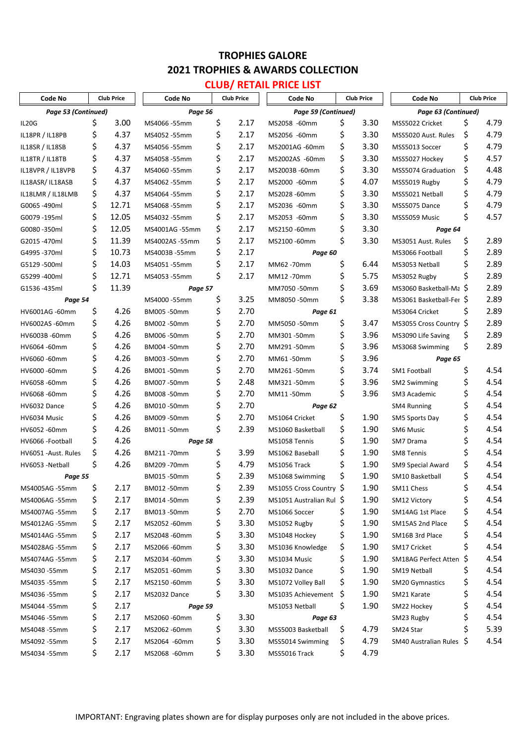# **CLUB/ RETAIL PRICE LIST**

| Code No              | <b>Club Price</b> |       | Code No        |    | <b>Club Price</b>   | Code No                 |     | <b>Club Price</b>   | Code No                  |     | <b>Club Price</b> |
|----------------------|-------------------|-------|----------------|----|---------------------|-------------------------|-----|---------------------|--------------------------|-----|-------------------|
| Page 53 (Continued)  |                   |       | Page 56        |    | Page 59 (Continued) |                         |     | Page 63 (Continued) |                          |     |                   |
| IL20G                | \$                | 3.00  | MS4066-55mm    | \$ | 2.17                | MS2058 -60mm            | \$  | 3.30                | MSS5022 Cricket          | \$  | 4.79              |
| IL18PR / IL18PB      | \$                | 4.37  | MS4052 -55mm   | \$ | 2.17                | MS2056 -60mm            | \$  | 3.30                | MSS5020 Aust. Rules      | \$  | 4.79              |
| IL18SR / IL18SB      | \$                | 4.37  | MS4056 -55mm   | \$ | 2.17                | MS2001AG -60mm          | \$  | 3.30                | MSS5013 Soccer           | \$  | 4.79              |
| IL18TR / IL18TB      | \$                | 4.37  | MS4058 -55mm   | \$ | 2.17                | MS2002AS -60mm          | \$  | 3.30                | MSS5027 Hockey           | \$  | 4.57              |
| IL18VPR / IL18VPB    | \$                | 4.37  | MS4060 -55mm   | \$ | 2.17                | MS2003B-60mm            | \$  | 3.30                | MSS5074 Graduation       | \$  | 4.48              |
| IL18ASR/IL18ASB      | \$                | 4.37  | MS4062 -55mm   | \$ | 2.17                | MS2000 -60mm            | \$  | 4.07                | MSS5019 Rugby            | \$  | 4.79              |
| IL18LMR / IL18LMB    | \$                | 4.37  | MS4064 -55mm   | \$ | 2.17                | MS2028-60mm             | \$  | 3.30                | MSS5021 Netball          | \$  | 4.79              |
| G0065-490ml          | \$                | 12.71 | MS4068 -55mm   | \$ | 2.17                | MS2036 -60mm            | \$  | 3.30                | MSS5075 Dance            | \$  | 4.79              |
| G0079-195ml          | \$                | 12.05 | MS4032 -55mm   | \$ | 2.17                | MS2053 -60mm            | \$  | 3.30                | MSS5059 Music            | \$  | 4.57              |
| G0080-350ml          | \$                | 12.05 | MS4001AG -55mm | \$ | 2.17                | MS2150 -60mm            | \$  | 3.30                | Page 64                  |     |                   |
| G2015-470ml          | \$                | 11.39 | MS4002AS -55mm | \$ | 2.17                | MS2100 -60mm            | \$  | 3.30                | MS3051 Aust. Rules       | \$  | 2.89              |
| G4995 -370ml         | \$                | 10.73 | MS4003B-55mm   | \$ | 2.17                | Page 60                 |     |                     | MS3066 Football          | \$  | 2.89              |
| G5129 -500ml         | \$                | 14.03 | MS4051-55mm    | \$ | 2.17                | MM62-70mm               | \$  | 6.44                | MS3053 Netball           | \$  | 2.89              |
| G5299 -400ml         | \$                | 12.71 | MS4053 -55mm   | \$ | 2.17                | MM12-70mm               | \$  | 5.75                | MS3052 Rugby             | \$  | 2.89              |
| G1536-435ml          | \$                | 11.39 | Page 57        |    |                     | MM7050-50mm             | \$  | 3.69                | MS3060 Basketball-Ma \$  |     | 2.89              |
| Page 54              |                   |       | MS4000-55mm    | \$ | 3.25                | MM8050-50mm             | \$  | 3.38                | MS3061 Basketball-Fer \$ |     | 2.89              |
| HV6001AG -60mm       | \$                | 4.26  | BM005 -50mm    | \$ | 2.70                | Page 61                 |     |                     | MS3064 Cricket           | \$  | 2.89              |
| HV6002AS -60mm       | \$                | 4.26  | BM002 -50mm    | \$ | 2.70                | MM5050-50mm             | \$  | 3.47                | MS3055 Cross Country \$  |     | 2.89              |
| HV6003B-60mm         | \$                | 4.26  | BM006 -50mm    | \$ | 2.70                | MM301-50mm              | \$  | 3.96                | MS3090 Life Saving       | \$. | 2.89              |
| HV6064-60mm          | \$                | 4.26  | BM004 -50mm    | \$ | 2.70                | MM291-50mm              | \$  | 3.96                | MS3068 Swimming          | \$  | 2.89              |
| HV6060-60mm          | \$                | 4.26  | BM003 -50mm    | \$ | 2.70                | MM61-50mm               | \$  | 3.96                | Page 65                  |     |                   |
| HV6000 -60mm         | \$                | 4.26  | BM001-50mm     | \$ | 2.70                | MM261-50mm              | \$  | 3.74                | <b>SM1 Football</b>      | \$  | 4.54              |
| HV6058-60mm          | \$                | 4.26  | BM007-50mm     | \$ | 2.48                | MM321-50mm              | \$  | 3.96                | <b>SM2 Swimming</b>      | \$  | 4.54              |
| HV6068-60mm          | \$                | 4.26  | BM008 -50mm    | \$ | 2.70                | MM11-50mm               | \$  | 3.96                | SM3 Academic             | \$  | 4.54              |
| HV6032 Dance         | \$                | 4.26  | BM010-50mm     | \$ | 2.70                | Page 62                 |     |                     | <b>SM4 Running</b>       | \$  | 4.54              |
| HV6034 Music         | \$                | 4.26  | BM009 -50mm    | \$ | 2.70                | MS1064 Cricket          | \$  | 1.90                | SM5 Sports Day           | \$  | 4.54              |
| HV6052-60mm          | \$                | 4.26  | BM011-50mm     | \$ | 2.39                | MS1060 Basketball       | \$  | 1.90                | SM6 Music                | \$  | 4.54              |
| HV6066 - Football    | \$                | 4.26  | Page 58        |    |                     | MS1058 Tennis           | \$  | 1.90                | SM7 Drama                | \$  | 4.54              |
| HV6051 - Aust. Rules | \$                | 4.26  | BM211-70mm     | \$ | 3.99                | MS1062 Baseball         | \$  | 1.90                | <b>SM8 Tennis</b>        | \$  | 4.54              |
| HV6053 - Netball     | \$                | 4.26  | BM209 -70mm    | Ş  | 4.79                | MS1056 Track            | \$  | 1.90                | SM9 Special Award        | \$  | 4.54              |
| Page 55              |                   |       | BM015 -50mm    | Ş  | 2.39                | MS1068 Swimming         | \$  | 1.90                | SM10 Basketball          | \$  | 4.54              |
| MS4005AG -55mm       | \$                | 2.17  | BM012 -50mm    | \$ | 2.39                | MS1055 Cross Country \$ |     | 1.90                | SM11 Chess               | \$  | 4.54              |
| MS4006AG -55mm       | \$                | 2.17  | BM014 -50mm    | \$ | 2.39                | MS1051 Australian Rul Ş |     | 1.90                | SM12 Victory             | \$  | 4.54              |
| MS4007AG -55mm       | \$                | 2.17  | BM013 -50mm    | \$ | 2.70                | MS1066 Soccer           | Ş   | 1.90                | SM14AG 1st Place         | \$  | 4.54              |
| MS4012AG -55mm       | \$                | 2.17  | MS2052 -60mm   | \$ | 3.30                | MS1052 Rugby            | \$  | 1.90                | SM15AS 2nd Place         | \$  | 4.54              |
| MS4014AG -55mm       | \$                | 2.17  | MS2048-60mm    | \$ | 3.30                | MS1048 Hockey           | \$  | 1.90                | SM16B 3rd Place          | \$  | 4.54              |
| MS4028AG -55mm       | \$                | 2.17  | MS2066-60mm    | \$ | 3.30                | MS1036 Knowledge        | \$  | 1.90                | SM17 Cricket             | \$  | 4.54              |
| MS4074AG -55mm       | \$                | 2.17  | MS2034 -60mm   | \$ | 3.30                | MS1034 Music            | \$  | 1.90                | SM18AG Perfect Atten     | S   | 4.54              |
| MS4030 -55mm         | \$                | 2.17  | MS2051-60mm    | \$ | 3.30                | MS1032 Dance            | \$  | 1.90                | SM19 Netball             | Ş   | 4.54              |
| MS4035 -55mm         | \$                | 2.17  | MS2150-60mm    | \$ | 3.30                | MS1072 Volley Ball      | \$  | 1.90                | <b>SM20 Gymnastics</b>   | \$  | 4.54              |
| MS4036 -55mm         | \$                | 2.17  | MS2032 Dance   | \$ | 3.30                | MS1035 Achievement \$   |     | 1.90                | SM21 Karate              | \$  | 4.54              |
| MS4044 -55mm         | \$                | 2.17  | Page 59        |    |                     | MS1053 Netball          | \$  | 1.90                | SM22 Hockey              | \$  | 4.54              |
| MS4046 -55mm         | \$                | 2.17  | MS2060-60mm    | \$ | 3.30                | Page 63                 |     |                     | SM23 Rugby               | \$  | 4.54              |
| MS4048 -55mm         | \$                | 2.17  | MS2062 -60mm   | \$ | 3.30                | MSS5003 Basketball      | \$, | 4.79                | SM24 Star                | Ś   | 5.39              |
| MS4092 -55mm         | \$                | 2.17  | MS2064 -60mm   | \$ | 3.30                | MSS5014 Swimming        | \$, | 4.79                | SM40 Australian Rules Ş  |     | 4.54              |
| MS4034 -55mm         | \$                | 2.17  | MS2068 -60mm   | \$ | 3.30                | MSS5016 Track           | \$  | 4.79                |                          |     |                   |